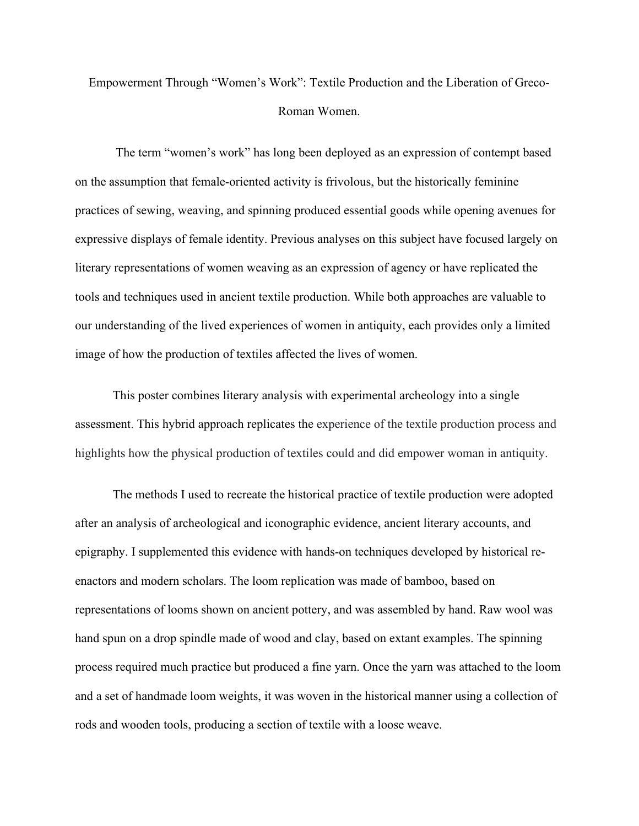## Empowerment Through "Women's Work": Textile Production and the Liberation of Greco-Roman Women.

The term "women's work" has long been deployed as an expression of contempt based on the assumption that female-oriented activity is frivolous, but the historically feminine practices of sewing, weaving, and spinning produced essential goods while opening avenues for expressive displays of female identity. Previous analyses on this subject have focused largely on literary representations of women weaving as an expression of agency or have replicated the tools and techniques used in ancient textile production. While both approaches are valuable to our understanding of the lived experiences of women in antiquity, each provides only a limited image of how the production of textiles affected the lives of women.

This poster combines literary analysis with experimental archeology into a single assessment. This hybrid approach replicates the experience of the textile production process and highlights how the physical production of textiles could and did empower woman in antiquity.

The methods I used to recreate the historical practice of textile production were adopted after an analysis of archeological and iconographic evidence, ancient literary accounts, and epigraphy. I supplemented this evidence with hands-on techniques developed by historical reenactors and modern scholars. The loom replication was made of bamboo, based on representations of looms shown on ancient pottery, and was assembled by hand. Raw wool was hand spun on a drop spindle made of wood and clay, based on extant examples. The spinning process required much practice but produced a fine yarn. Once the yarn was attached to the loom and a set of handmade loom weights, it was woven in the historical manner using a collection of rods and wooden tools, producing a section of textile with a loose weave.